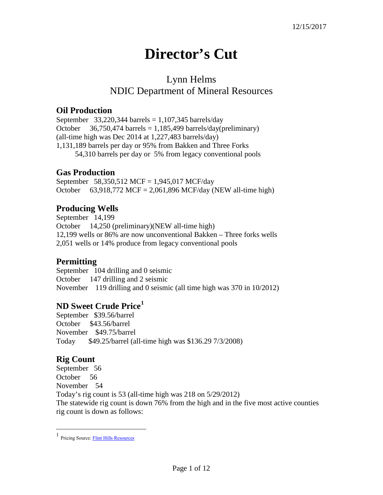# **Director's Cut**

## Lynn Helms NDIC Department of Mineral Resources

#### **Oil Production**

September 33,220,344 barrels =  $1,107,345$  barrels/day October  $36,750,474$  barrels = 1,185,499 barrels/day(preliminary) (all-time high was Dec 2014 at 1,227,483 barrels/day) 1,131,189 barrels per day or 95% from Bakken and Three Forks 54,310 barrels per day or 5% from legacy conventional pools

#### **Gas Production**

September 58,350,512 MCF = 1,945,017 MCF/day October 63,918,772 MCF = 2,061,896 MCF/day (NEW all-time high)

### **Producing Wells**

September 14,199 October 14,250 (preliminary)(NEW all-time high) 12,199 wells or 86% are now unconventional Bakken – Three forks wells 2,051 wells or 14% produce from legacy conventional pools

### **Permitting**

September 104 drilling and 0 seismic October 147 drilling and 2 seismic November 119 drilling and 0 seismic (all time high was 370 in 10/2012)

### **ND Sweet Crude Price[1](#page-0-0)**

September \$39.56/barrel October \$43.56/barrel November \$49.75/barrel Today \$49.25/barrel (all-time high was \$136.29 7/3/2008)

### **Rig Count**

September 56 October 56 November 54 Today's rig count is 53 (all-time high was 218 on 5/29/2012) The statewide rig count is down 76% from the high and in the five most active counties rig count is down as follows:

<span id="page-0-0"></span> $\frac{1}{1}$ Pricing Source[: Flint Hills Resources](http://www.fhr.com/refining/bulletins.aspx?AspxAutoDetectCookieSupport=1)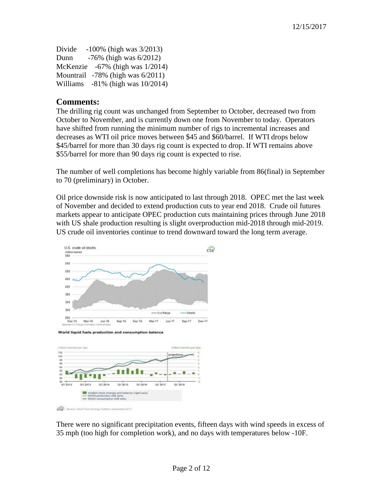| Divide | $-100\%$ (high was $3/2013$ )          |
|--------|----------------------------------------|
| Dunn   | $-76\%$ (high was $6/2012$ )           |
|        | McKenzie $-67\%$ (high was $1/2014$ )  |
|        | Mountrail $-78\%$ (high was $6/2011$ ) |
|        | Williams $-81\%$ (high was $10/2014$ ) |

#### **Comments:**

The drilling rig count was unchanged from September to October, decreased two from October to November, and is currently down one from November to today. Operators have shifted from running the minimum number of rigs to incremental increases and decreases as WTI oil price moves between \$45 and \$60/barrel. If WTI drops below \$45/barrel for more than 30 days rig count is expected to drop. If WTI remains above \$55/barrel for more than 90 days rig count is expected to rise.

The number of well completions has become highly variable from 86(final) in September to 70 (preliminary) in October.

Oil price downside risk is now anticipated to last through 2018. OPEC met the last week of November and decided to extend production cuts to year end 2018. Crude oil futures markets appear to anticipate OPEC production cuts maintaining prices through June 2018 with US shale production resulting is slight overproduction mid-2018 through mid-2019. US crude oil inventories continue to trend downward toward the long term average.



 $\widehat{\text{cla}}$ gy Outlack, Sapt

There were no significant precipitation events, fifteen days with wind speeds in excess of 35 mph (too high for completion work), and no days with temperatures below -10F.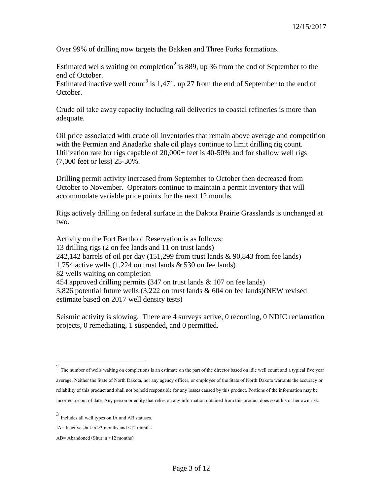Over 99% of drilling now targets the Bakken and Three Forks formations.

Estimated wells waiting on completion<sup>[2](#page-2-0)</sup> is 889, up 36 from the end of September to the end of October.

Estimated inactive well count<sup>[3](#page-2-1)</sup> is 1,471, up 27 from the end of September to the end of October.

Crude oil take away capacity including rail deliveries to coastal refineries is more than adequate.

Oil price associated with crude oil inventories that remain above average and competition with the Permian and Anadarko shale oil plays continue to limit drilling rig count. Utilization rate for rigs capable of 20,000+ feet is 40-50% and for shallow well rigs (7,000 feet or less) 25-30%.

Drilling permit activity increased from September to October then decreased from October to November. Operators continue to maintain a permit inventory that will accommodate variable price points for the next 12 months.

Rigs actively drilling on federal surface in the Dakota Prairie Grasslands is unchanged at two.

Activity on the Fort Berthold Reservation is as follows: 13 drilling rigs (2 on fee lands and 11 on trust lands) 242,142 barrels of oil per day (151,299 from trust lands & 90,843 from fee lands) 1,754 active wells (1,224 on trust lands & 530 on fee lands) 82 wells waiting on completion 454 approved drilling permits (347 on trust lands & 107 on fee lands) 3,826 potential future wells (3,222 on trust lands & 604 on fee lands)(NEW revised estimate based on 2017 well density tests)

Seismic activity is slowing. There are 4 surveys active, 0 recording, 0 NDIC reclamation projects, 0 remediating, 1 suspended, and 0 permitted.

<span id="page-2-0"></span><sup>&</sup>lt;sup>2</sup> The number of wells waiting on completions is an estimate on the part of the director based on idle well count and a typical five year average. Neither the State of North Dakota, nor any agency officer, or employee of the State of North Dakota warrants the accuracy or reliability of this product and shall not be held responsible for any losses caused by this product. Portions of the information may be incorrect or out of date. Any person or entity that relies on any information obtained from this product does so at his or her own risk.

<span id="page-2-1"></span><sup>3</sup> Includes all well types on IA and AB statuses.

IA= Inactive shut in  $\geq$ 3 months and  $\leq$ 12 months

AB= Abandoned (Shut in >12 months)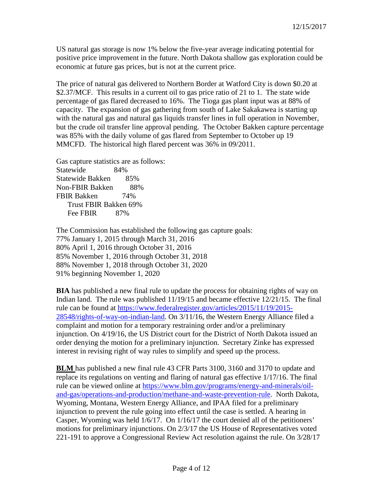US natural gas storage is now 1% below the five-year average indicating potential for positive price improvement in the future. North Dakota shallow gas exploration could be economic at future gas prices, but is not at the current price.

The price of natural gas delivered to Northern Border at Watford City is down \$0.20 at \$2.37/MCF. This results in a current oil to gas price ratio of 21 to 1. The state wide percentage of gas flared decreased to 16%. The Tioga gas plant input was at 88% of capacity. The expansion of gas gathering from south of Lake Sakakawea is starting up with the natural gas and natural gas liquids transfer lines in full operation in November, but the crude oil transfer line approval pending. The October Bakken capture percentage was 85% with the daily volume of gas flared from September to October up 19 MMCFD. The historical high flared percent was 36% in 09/2011.

Gas capture statistics are as follows: Statewide 84% Statewide Bakken 85% Non-FBIR Bakken 88% FBIR Bakken 74% Trust FBIR Bakken 69% Fee FBIR 87%

The Commission has established the following gas capture goals: 77% January 1, 2015 through March 31, 2016 80% April 1, 2016 through October 31, 2016 85% November 1, 2016 through October 31, 2018 88% November 1, 2018 through October 31, 2020 91% beginning November 1, 2020

**BIA** has published a new final rule to update the process for obtaining rights of way on Indian land. The rule was published 11/19/15 and became effective 12/21/15. The final rule can be found at [https://www.federalregister.gov/articles/2015/11/19/2015-](https://www.federalregister.gov/articles/2015/11/19/2015-28548/rights-of-way-on-indian-land) [28548/rights-of-way-on-indian-land.](https://www.federalregister.gov/articles/2015/11/19/2015-28548/rights-of-way-on-indian-land) On 3/11/16, the Western Energy Alliance filed a complaint and motion for a temporary restraining order and/or a preliminary injunction. On 4/19/16, the US District court for the District of North Dakota issued an order denying the motion for a preliminary injunction. Secretary Zinke has expressed interest in revising right of way rules to simplify and speed up the process.

**BLM** has published a new final rule 43 CFR Parts 3100, 3160 and 3170 to update and replace its regulations on venting and flaring of natural gas effective 1/17/16. The final rule can be viewed online at [https://www.blm.gov/programs/energy-and-minerals/oil](https://www.blm.gov/programs/energy-and-minerals/oil-and-gas/operations-and-production/methane-and-waste-prevention-rule)[and-gas/operations-and-production/methane-and-waste-prevention-rule.](https://www.blm.gov/programs/energy-and-minerals/oil-and-gas/operations-and-production/methane-and-waste-prevention-rule) North Dakota, Wyoming, Montana, Western Energy Alliance, and IPAA filed for a preliminary injunction to prevent the rule going into effect until the case is settled. A hearing in Casper, Wyoming was held 1/6/17. On 1/16/17 the court denied all of the petitioners' motions for preliminary injunctions. On 2/3/17 the US House of Representatives voted 221-191 to approve a Congressional Review Act resolution against the rule. On 3/28/17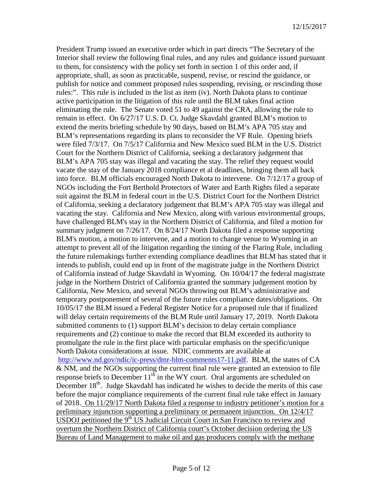President Trump issued an executive order which in part directs "The Secretary of the Interior shall review the following final rules, and any rules and guidance issued pursuant to them, for consistency with the policy set forth in section 1 of this order and, if appropriate, shall, as soon as practicable, suspend, revise, or rescind the guidance, or publish for notice and comment proposed rules suspending, revising, or rescinding those rules:". This rule is included in the list as item (iv). North Dakota plans to continue active participation in the litigation of this rule until the BLM takes final action eliminating the rule. The Senate voted 51 to 49 against the CRA, allowing the rule to remain in effect. On 6/27/17 U.S. D. Ct. Judge Skavdahl granted BLM's motion to extend the merits briefing schedule by 90 days, based on BLM's APA 705 stay and BLM's representations regarding its plans to reconsider the VF Rule. Opening briefs were filed 7/3/17. On 7/5/17 California and New Mexico sued BLM in the U.S. District Court for the Northern District of California, seeking a declaratory judgement that BLM's APA 705 stay was illegal and vacating the stay. The relief they request would vacate the stay of the January 2018 compliance et al deadlines, bringing them all back into force. BLM officials encouraged North Dakota to intervene. On 7/12/17 a group of NGOs including the Fort Berthold Protectors of Water and Earth Rights filed a separate suit against the BLM in federal court in the U.S. District Court for the Northern District of California, seeking a declaratory judgement that BLM's APA 705 stay was illegal and vacating the stay. California and New Mexico, along with various environmental groups, have challenged BLM's stay in the Northern District of California, and filed a motion for summary judgment on 7/26/17. On 8/24/17 North Dakota filed a response supporting BLM's motion, a motion to intervene, and a motion to change venue to Wyoming in an attempt to prevent all of the litigation regarding the timing of the Flaring Rule, including the future rulemakings further extending compliance deadlines that BLM has stated that it intends to publish, could end up in front of the magistrate judge in the Northern District of California instead of Judge Skavdahl in Wyoming. On 10/04/17 the federal magistrate judge in the Northern District of California granted the summary judgement motion by California, New Mexico, and several NGOs throwing out BLM's administrative and temporary postponement of several of the future rules compliance dates/obligations. On 10/05/17 the BLM issued a Federal Register Notice for a proposed rule that if finalized will delay certain requirements of the BLM Rule until January 17, 2019. North Dakota submitted comments to (1) support BLM's decision to delay certain compliance requirements and (2) continue to make the record that BLM exceeded its authority to promulgate the rule in the first place with particular emphasis on the specific/unique North Dakota considerations at issue. NDIC comments are available at [http://www.nd.gov/ndic/ic-press/dmr-blm-comments17-11.pdf.](http://www.nd.gov/ndic/ic-press/dmr-blm-comments17-11.pdf) BLM, the states of CA & NM, and the NGOs supporting the current final rule were granted an extension to file response briefs to December  $11^{th}$  in the WY court. Oral arguments are scheduled on December  $18<sup>th</sup>$ . Judge Skavdahl has indicated he wishes to decide the merits of this case before the major compliance requirements of the current final rule take effect in January of 2018. On 11/29/17 North Dakota filed a response to industry petitioner's motion for a preliminary injunction supporting a preliminary or permanent injunction. On 12/4/17 USDOJ petitioned the  $9<sup>th</sup>$  US Judicial Circuit Court in San Francisco to review and overturn the Northern District of California court's October decision ordering the US Bureau of Land Management to make oil and gas producers comply with the methane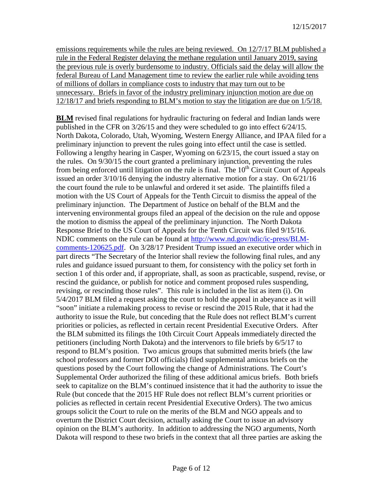emissions requirements while the rules are being reviewed. On 12/7/17 BLM published a rule in the Federal Register delaying the methane regulation until January 2019, saying the previous rule is overly burdensome to industry. Officials said the delay will allow the federal Bureau of Land Management time to review the earlier rule while avoiding tens of millions of dollars in compliance costs to industry that may turn out to be unnecessary. Briefs in favor of the industry preliminary injunction motion are due on 12/18/17 and briefs responding to BLM's motion to stay the litigation are due on 1/5/18.

**BLM** revised final regulations for hydraulic fracturing on federal and Indian lands were published in the CFR on 3/26/15 and they were scheduled to go into effect 6/24/15. North Dakota, Colorado, Utah, Wyoming, Western Energy Alliance, and IPAA filed for a preliminary injunction to prevent the rules going into effect until the case is settled. Following a lengthy hearing in Casper, Wyoming on 6/23/15, the court issued a stay on the rules. On 9/30/15 the court granted a preliminary injunction, preventing the rules from being enforced until litigation on the rule is final. The  $10<sup>th</sup>$  Circuit Court of Appeals issued an order 3/10/16 denying the industry alternative motion for a stay. On 6/21/16 the court found the rule to be unlawful and ordered it set aside. The plaintiffs filed a motion with the US Court of Appeals for the Tenth Circuit to dismiss the appeal of the preliminary injunction. The Department of Justice on behalf of the BLM and the intervening environmental groups filed an appeal of the decision on the rule and oppose the motion to dismiss the appeal of the preliminary injunction. The North Dakota Response Brief to the US Court of Appeals for the Tenth Circuit was filed 9/15/16. NDIC comments on the rule can be found at [http://www.nd.gov/ndic/ic-press/BLM](http://www.nd.gov/ndic/ic-press/BLM-comments-120625.pdf)[comments-120625.pdf.](http://www.nd.gov/ndic/ic-press/BLM-comments-120625.pdf) On 3/28/17 President Trump issued an executive order which in part directs "The Secretary of the Interior shall review the following final rules, and any rules and guidance issued pursuant to them, for consistency with the policy set forth in section 1 of this order and, if appropriate, shall, as soon as practicable, suspend, revise, or rescind the guidance, or publish for notice and comment proposed rules suspending, revising, or rescinding those rules". This rule is included in the list as item (i). On 5/4/2017 BLM filed a request asking the court to hold the appeal in abeyance as it will "soon" initiate a rulemaking process to revise or rescind the 2015 Rule, that it had the authority to issue the Rule, but conceding that the Rule does not reflect BLM's current priorities or policies, as reflected in certain recent Presidential Executive Orders. After the BLM submitted its filings the 10th Circuit Court Appeals immediately directed the petitioners (including North Dakota) and the intervenors to file briefs by 6/5/17 to respond to BLM's position. Two amicus groups that submitted merits briefs (the law school professors and former DOI officials) filed supplemental amicus briefs on the questions posed by the Court following the change of Administrations. The Court's Supplemental Order authorized the filing of these additional amicus briefs. Both briefs seek to capitalize on the BLM's continued insistence that it had the authority to issue the Rule (but concede that the 2015 HF Rule does not reflect BLM's current priorities or policies as reflected in certain recent Presidential Executive Orders). The two amicus groups solicit the Court to rule on the merits of the BLM and NGO appeals and to overturn the District Court decision, actually asking the Court to issue an advisory opinion on the BLM's authority. In addition to addressing the NGO arguments, North Dakota will respond to these two briefs in the context that all three parties are asking the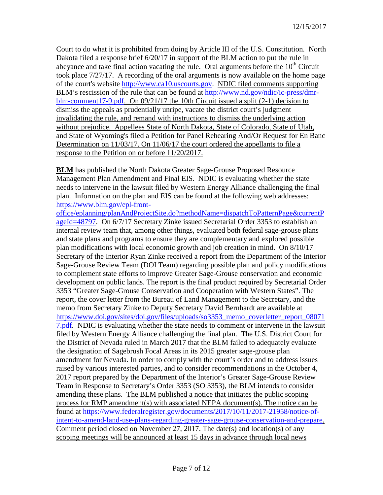Court to do what it is prohibited from doing by Article III of the U.S. Constitution. North Dakota filed a response brief 6/20/17 in support of the BLM action to put the rule in abeyance and take final action vacating the rule. Oral arguments before the  $10<sup>th</sup>$  Circuit took place 7/27/17. A recording of the oral arguments is now available on the home page of the court's website [http://www.ca10.uscourts.gov.](https://urldefense.proofpoint.com/v2/url?u=http-3A__www.ca10.uscourts.gov&d=DwMGaQ&c=2s2mvbfY0UoSKkl6_Ol9wg&r=-wqsZnBxny594KY8HeElow&m=Ul_VtJUX6iW5pvHjCcBxUWtskC0F4Dhry3sPtcEHvCw&s=laRHiLDv5w8otcQWQjpn82WMieoB2AZ-Q4M1LFQPL5s&e=) NDIC filed comments supporting BLM's rescission of the rule that can be found at [http://www.nd.gov/ndic/ic-press/dmr](http://www.nd.gov/ndic/ic-press/dmr-blm-comment17-9.pdf)[blm-comment17-9.pdf.](http://www.nd.gov/ndic/ic-press/dmr-blm-comment17-9.pdf) On 09/21/17 the 10th Circuit issued a split (2-1) decision to dismiss the appeals as prudentially unripe, vacate the district court's judgment invalidating the rule, and remand with instructions to dismiss the underlying action without prejudice. Appellees State of North Dakota, State of Colorado, State of Utah, and State of Wyoming's filed a Petition for Panel Rehearing And/Or Request for En Banc Determination on 11/03/17. On 11/06/17 the court ordered the appellants to file a response to the Petition on or before 11/20/2017.

**BLM** has published the North Dakota Greater Sage-Grouse Proposed Resource Management Plan Amendment and Final EIS. NDIC is evaluating whether the state needs to intervene in the lawsuit filed by Western Energy Alliance challenging the final plan. Information on the plan and EIS can be found at the following web addresses: [https://www.blm.gov/epl-front-](https://www.blm.gov/epl-front-office/eplanning/planAndProjectSite.do?methodName=dispatchToPatternPage¤tPageId=48797)

[office/eplanning/planAndProjectSite.do?methodName=dispatchToPatternPage&currentP](https://www.blm.gov/epl-front-office/eplanning/planAndProjectSite.do?methodName=dispatchToPatternPage¤tPageId=48797) [ageId=48797.](https://www.blm.gov/epl-front-office/eplanning/planAndProjectSite.do?methodName=dispatchToPatternPage¤tPageId=48797) On 6/7/17 Secretary Zinke issued Secretarial Order 3353 to establish an internal review team that, among other things, evaluated both federal sage-grouse plans and state plans and programs to ensure they are complementary and explored possible plan modifications with local economic growth and job creation in mind. On 8/10/17 Secretary of the Interior Ryan Zinke received a report from the Department of the Interior Sage-Grouse Review Team (DOI Team) regarding possible plan and policy modifications to complement state efforts to improve Greater Sage-Grouse conservation and economic development on public lands. The report is the final product required by Secretarial Order 3353 "Greater Sage-Grouse Conservation and Cooperation with Western States". The report, the cover letter from the Bureau of Land Management to the Secretary, and the memo from Secretary Zinke to Deputy Secretary David Bernhardt are available at [https://www.doi.gov/sites/doi.gov/files/uploads/so3353\\_memo\\_coverletter\\_report\\_08071](https://www.doi.gov/sites/doi.gov/files/uploads/so3353_memo_coverletter_report_080717.pdf) [7.pdf.](https://www.doi.gov/sites/doi.gov/files/uploads/so3353_memo_coverletter_report_080717.pdf) NDIC is evaluating whether the state needs to comment or intervene in the lawsuit filed by Western Energy Alliance challenging the final plan. The U.S. District Court for the District of Nevada ruled in March 2017 that the BLM failed to adequately evaluate the designation of Sagebrush Focal Areas in its 2015 greater sage-grouse plan amendment for Nevada. In order to comply with the court's order and to address issues raised by various interested parties, and to consider recommendations in the October 4, 2017 report prepared by the Department of the Interior's Greater Sage-Grouse Review Team in Response to Secretary's Order 3353 (SO 3353), the BLM intends to consider amending these plans. The BLM published a notice that initiates the public scoping process for RMP amendment(s) with associated NEPA document(s). The notice can be found at [https://www.federalregister.gov/documents/2017/10/11/2017-21958/notice-of](https://www.federalregister.gov/documents/2017/10/11/2017-21958/notice-of-intent-to-amend-land-use-plans-regarding-greater-sage-grouse-conservation-and-prepare)[intent-to-amend-land-use-plans-regarding-greater-sage-grouse-conservation-and-prepare.](https://www.federalregister.gov/documents/2017/10/11/2017-21958/notice-of-intent-to-amend-land-use-plans-regarding-greater-sage-grouse-conservation-and-prepare) Comment period closed on November 27, 2017. The date(s) and location(s) of any scoping meetings will be announced at least 15 days in advance through local news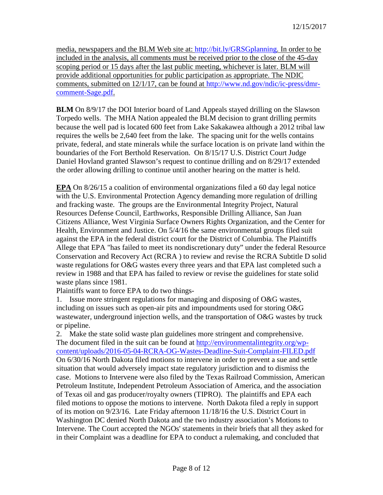media, newspapers and the BLM Web site at: [http://bit.ly/GRSGplanning.](http://bit.ly/%E2%80%8BGRSGplanning) In order to be included in the analysis, all comments must be received prior to the close of the 45-day scoping period or 15 days after the last public meeting, whichever is later. BLM will provide additional opportunities for public participation as appropriate. The NDIC comments, submitted on 12/1/17, can be found at [http://www.nd.gov/ndic/ic-press/dmr](http://www.nd.gov/ndic/ic-press/dmr-comment-Sage.pdf)[comment-Sage.pdf.](http://www.nd.gov/ndic/ic-press/dmr-comment-Sage.pdf)

**BLM** On 8/9/17 the DOI Interior board of Land Appeals stayed drilling on the Slawson Torpedo wells. The MHA Nation appealed the BLM decision to grant drilling permits because the well pad is located 600 feet from Lake Sakakawea although a 2012 tribal law requires the wells be 2,640 feet from the lake. The spacing unit for the wells contains private, federal, and state minerals while the surface location is on private land within the boundaries of the Fort Berthold Reservation. On 8/15/17 U.S. District Court Judge Daniel Hovland granted Slawson's request to continue drilling and on 8/29/17 extended the order allowing drilling to continue until another hearing on the matter is held.

**EPA** On 8/26/15 a coalition of environmental organizations filed a 60 day legal notice with the U.S. Environmental Protection Agency demanding more regulation of drilling and fracking waste. The groups are the Environmental Integrity Project, Natural Resources Defense Council, Earthworks, Responsible Drilling Alliance, San Juan Citizens Alliance, West Virginia Surface Owners Rights Organization, and the Center for Health, Environment and Justice. On 5/4/16 the same environmental groups filed suit against the EPA in the federal district court for the District of Columbia. The Plaintiffs Allege that EPA "has failed to meet its nondiscretionary duty" under the federal Resource Conservation and Recovery Act (RCRA ) to review and revise the RCRA Subtitle D solid waste regulations for O&G wastes every three years and that EPA last completed such a review in 1988 and that EPA has failed to review or revise the guidelines for state solid waste plans since 1981.

Plaintiffs want to force EPA to do two things-

1. Issue more stringent regulations for managing and disposing of O&G wastes, including on issues such as open-air pits and impoundments used for storing O&G wastewater, underground injection wells, and the transportation of O&G wastes by truck or pipeline.

2. Make the state solid waste plan guidelines more stringent and comprehensive. The document filed in the suit can be found at [http://environmentalintegrity.org/wp](http://environmentalintegrity.org/wp-content/uploads/2016-05-04-RCRA-OG-Wastes-Deadline-Suit-Complaint-FILED.pdf)[content/uploads/2016-05-04-RCRA-OG-Wastes-Deadline-Suit-Complaint-FILED.pdf](http://environmentalintegrity.org/wp-content/uploads/2016-05-04-RCRA-OG-Wastes-Deadline-Suit-Complaint-FILED.pdf) On 6/30/16 North Dakota filed motions to intervene in order to prevent a sue and settle situation that would adversely impact state regulatory jurisdiction and to dismiss the case. Motions to Intervene were also filed by the Texas Railroad Commission, American Petroleum Institute, Independent Petroleum Association of America, and the association of Texas oil and gas producer/royalty owners (TIPRO). The plaintiffs and EPA each filed motions to oppose the motions to intervene. North Dakota filed a reply in support of its motion on 9/23/16. Late Friday afternoon 11/18/16 the U.S. District Court in Washington DC denied North Dakota and the two industry association's Motions to Intervene. The Court accepted the NGOs' statements in their briefs that all they asked for in their Complaint was a deadline for EPA to conduct a rulemaking, and concluded that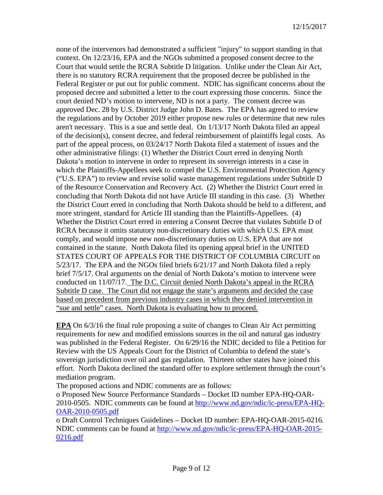none of the intervenors had demonstrated a sufficient "injury" to support standing in that context. On 12/23/16, EPA and the NGOs submitted a proposed consent decree to the Court that would settle the RCRA Subtitle D litigation. Unlike under the Clean Air Act, there is no statutory RCRA requirement that the proposed decree be published in the Federal Register or put out for public comment. NDIC has significant concerns about the proposed decree and submitted a letter to the court expressing those concerns. Since the court denied ND's motion to intervene, ND is not a party. The consent decree was approved Dec. 28 by U.S. District Judge John D. Bates. The EPA has agreed to review the regulations and by October 2019 either propose new rules or determine that new rules aren't necessary. This is a sue and settle deal. On 1/13/17 North Dakota filed an appeal of the decision(s), consent decree, and federal reimbursement of plaintiffs legal costs. As part of the appeal process, on 03/24/17 North Dakota filed a statement of issues and the other administrative filings: (1) Whether the District Court erred in denying North Dakota's motion to intervene in order to represent its sovereign interests in a case in which the Plaintiffs-Appellees seek to compel the U.S. Environmental Protection Agency ("U.S. EPA") to review and revise solid waste management regulations under Subtitle D of the Resource Conservation and Recovery Act. (2) Whether the District Court erred in concluding that North Dakota did not have Article III standing in this case. (3) Whether the District Court erred in concluding that North Dakota should be held to a different, and more stringent, standard for Article III standing than the Plaintiffs-Appellees. (4) Whether the District Court erred in entering a Consent Decree that violates Subtitle D of RCRA because it omits statutory non-discretionary duties with which U.S. EPA must comply, and would impose new non-discretionary duties on U.S. EPA that are not contained in the statute. North Dakota filed its opening appeal brief in the UNITED STATES COURT OF APPEALS FOR THE DISTRICT OF COLUMBIA CIRCUIT on 5/23/17. The EPA and the NGOs filed briefs 6/21/17 and North Dakota filed a reply brief 7/5/17. Oral arguments on the denial of North Dakota's motion to intervene were conducted on 11/07/17. The D.C. Circuit denied North Dakota's appeal in the RCRA Subtitle D case. The Court did not engage the state's arguments and decided the case based on precedent from previous industry cases in which they denied intervention in "sue and settle" cases. North Dakota is evaluating how to proceed.

**EPA** On 6/3/16 the final rule proposing a suite of changes to Clean Air Act permitting requirements for new and modified emissions sources in the oil and natural gas industry was published in the Federal Register. On 6/29/16 the NDIC decided to file a Petition for Review with the US Appeals Court for the District of Columbia to defend the state's sovereign jurisdiction over oil and gas regulation. Thirteen other states have joined this effort. North Dakota declined the standard offer to explore settlement through the court's mediation program.

The proposed actions and NDIC comments are as follows:

o Proposed New Source Performance Standards – Docket ID number EPA-HQ-OAR-2010-0505. NDIC comments can be found at [http://www.nd.gov/ndic/ic-press/EPA-HQ-](http://www.nd.gov/ndic/ic-press/EPA-HQ-OAR-2010-0505.pdf)[OAR-2010-0505.pdf](http://www.nd.gov/ndic/ic-press/EPA-HQ-OAR-2010-0505.pdf)

o Draft Control Techniques Guidelines – Docket ID number: EPA-HQ-OAR-2015-0216. NDIC comments can be found at [http://www.nd.gov/ndic/ic-press/EPA-HQ-OAR-2015-](http://www.nd.gov/ndic/ic-press/EPA-HQ-OAR-2015-0216.pdf) [0216.pdf](http://www.nd.gov/ndic/ic-press/EPA-HQ-OAR-2015-0216.pdf)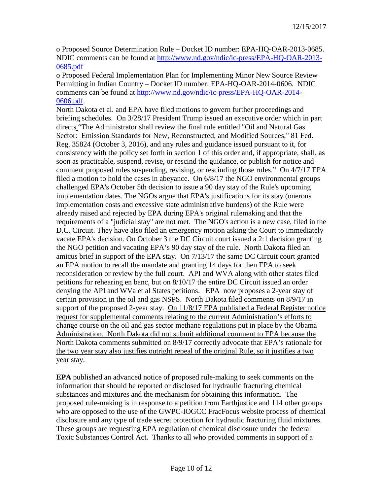o Proposed Source Determination Rule – Docket ID number: EPA-HQ-OAR-2013-0685. NDIC comments can be found at [http://www.nd.gov/ndic/ic-press/EPA-HQ-OAR-2013-](http://www.nd.gov/ndic/ic-press/EPA-HQ-OAR-2013-0685.pdf) [0685.pdf](http://www.nd.gov/ndic/ic-press/EPA-HQ-OAR-2013-0685.pdf)

o Proposed Federal Implementation Plan for Implementing Minor New Source Review Permitting in Indian Country – Docket ID number: EPA-HQ-OAR-2014-0606. NDIC comments can be found at [http://www.nd.gov/ndic/ic-press/EPA-HQ-OAR-2014-](http://www.nd.gov/ndic/ic-press/EPA-HQ-OAR-2014-0606.pdf) [0606.pdf.](http://www.nd.gov/ndic/ic-press/EPA-HQ-OAR-2014-0606.pdf)

North Dakota et al. and EPA have filed motions to govern further proceedings and briefing schedules. On 3/28/17 President Trump issued an executive order which in part directs "The Administrator shall review the final rule entitled "Oil and Natural Gas Sector: Emission Standards for New, Reconstructed, and Modified Sources," 81 Fed. Reg. 35824 (October 3, 2016), and any rules and guidance issued pursuant to it, for consistency with the policy set forth in section 1 of this order and, if appropriate, shall, as soon as practicable, suspend, revise, or rescind the guidance, or publish for notice and comment proposed rules suspending, revising, or rescinding those rules." On 4/7/17 EPA filed a motion to hold the cases in abeyance. On 6/8/17 the NGO environmental groups challenged EPA's October 5th decision to issue a 90 day stay of the Rule's upcoming implementation dates. The NGOs argue that EPA's justifications for its stay (onerous implementation costs and excessive state administrative burdens) of the Rule were already raised and rejected by EPA during EPA's original rulemaking and that the requirements of a "judicial stay" are not met. The NGO's action is a new case, filed in the D.C. Circuit. They have also filed an emergency motion asking the Court to immediately vacate EPA's decision. On October 3 the DC Circuit court issued a 2:1 decision granting the NGO petition and vacating EPA's 90 day stay of the rule. North Dakota filed an amicus brief in support of the EPA stay. On 7/13/17 the same DC Circuit court granted an EPA motion to recall the mandate and granting 14 days for then EPA to seek reconsideration or review by the full court. API and WVA along with other states filed petitions for rehearing en banc, but on 8/10/17 the entire DC Circuit issued an order denying the API and WVa et al States petitions. EPA now proposes a 2-year stay of certain provision in the oil and gas NSPS. North Dakota filed comments on 8/9/17 in support of the proposed 2-year stay. On 11/8/17 EPA published a Federal Register notice request for supplemental comments relating to the current Administration's efforts to change course on the oil and gas sector methane regulations put in place by the Obama Administration. North Dakota did not submit additional comment to EPA because the North Dakota comments submitted on 8/9/17 correctly advocate that EPA's rationale for the two year stay also justifies outright repeal of the original Rule, so it justifies a two year stay.

**EPA** published an advanced notice of proposed rule-making to seek comments on the information that should be reported or disclosed for hydraulic fracturing chemical substances and mixtures and the mechanism for obtaining this information. The proposed rule-making is in response to a petition from Earthjustice and 114 other groups who are opposed to the use of the GWPC-IOGCC FracFocus website process of chemical disclosure and any type of trade secret protection for hydraulic fracturing fluid mixtures. These groups are requesting EPA regulation of chemical disclosure under the federal Toxic Substances Control Act. Thanks to all who provided comments in support of a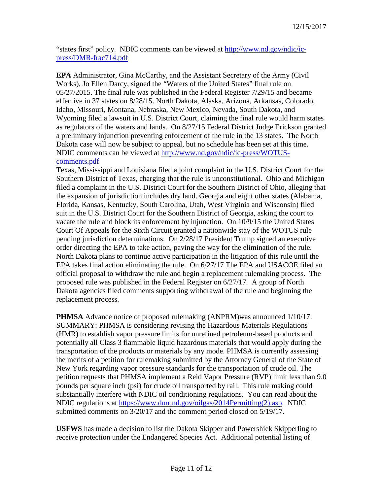"states first" policy. NDIC comments can be viewed at [http://www.nd.gov/ndic/ic](http://www.nd.gov/ndic/ic-press/DMR-frac714.pdf)[press/DMR-frac714.pdf](http://www.nd.gov/ndic/ic-press/DMR-frac714.pdf)

**EPA** Administrator, Gina McCarthy, and the Assistant Secretary of the Army (Civil Works), Jo Ellen Darcy, signed the "Waters of the United States" final rule on 05/27/2015. The final rule was published in the Federal Register 7/29/15 and became effective in 37 states on 8/28/15. North Dakota, Alaska, Arizona, Arkansas, Colorado, Idaho, Missouri, Montana, Nebraska, New Mexico, Nevada, South Dakota, and Wyoming filed a lawsuit in U.S. District Court, claiming the final rule would harm states as regulators of the waters and lands. On 8/27/15 Federal District Judge Erickson granted a preliminary injunction preventing enforcement of the rule in the 13 states. The North Dakota case will now be subject to appeal, but no schedule has been set at this time. NDIC comments can be viewed at [http://www.nd.gov/ndic/ic-press/WOTUS](http://www.nd.gov/ndic/ic-press/WOTUS-comments.pdf)[comments.pdf](http://www.nd.gov/ndic/ic-press/WOTUS-comments.pdf)

Texas, Mississippi and Louisiana filed a joint complaint in the U.S. District Court for the Southern District of Texas, charging that the rule is unconstitutional. Ohio and Michigan filed a complaint in the U.S. District Court for the Southern District of Ohio, alleging that the expansion of jurisdiction includes dry land. Georgia and eight other states (Alabama, Florida, Kansas, Kentucky, South Carolina, Utah, West Virginia and Wisconsin) filed suit in the U.S. District Court for the Southern District of Georgia, asking the court to vacate the rule and block its enforcement by injunction. On 10/9/15 the United States Court Of Appeals for the Sixth Circuit granted a nationwide stay of the WOTUS rule pending jurisdiction determinations. On 2/28/17 President Trump signed an executive order directing the EPA to take action, paving the way for the elimination of the rule. North Dakota plans to continue active participation in the litigation of this rule until the EPA takes final action eliminating the rule. On 6/27/17 The EPA and USACOE filed an official proposal to withdraw the rule and begin a replacement rulemaking process. The proposed rule was published in the Federal Register on 6/27/17. A group of North Dakota agencies filed comments supporting withdrawal of the rule and beginning the replacement process.

**PHMSA** Advance notice of proposed rulemaking (ANPRM)was announced  $1/10/17$ . SUMMARY: PHMSA is considering revising the Hazardous Materials Regulations (HMR) to establish vapor pressure limits for unrefined petroleum-based products and potentially all Class 3 flammable liquid hazardous materials that would apply during the transportation of the products or materials by any mode. PHMSA is currently assessing the merits of a petition for rulemaking submitted by the Attorney General of the State of New York regarding vapor pressure standards for the transportation of crude oil. The petition requests that PHMSA implement a Reid Vapor Pressure (RVP) limit less than 9.0 pounds per square inch (psi) for crude oil transported by rail. This rule making could substantially interfere with NDIC oil conditioning regulations. You can read about the NDIC regulations at [https://www.dmr.nd.gov/oilgas/2014Permitting\(2\).asp.](https://www.dmr.nd.gov/oilgas/2014Permitting(2).asp) NDIC submitted comments on 3/20/17 and the comment period closed on 5/19/17.

**USFWS** has made a decision to list the Dakota Skipper and Powershiek Skipperling to receive protection under the Endangered Species Act. Additional potential listing of